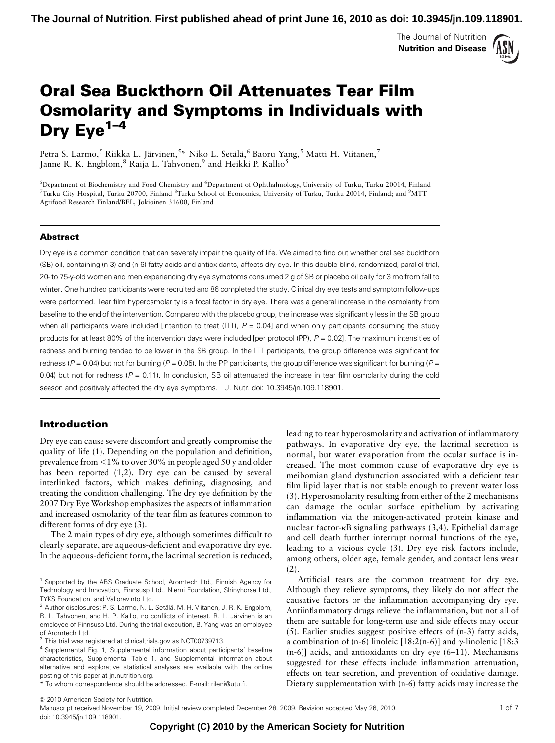The Journal of Nutrition Nutrition and Disease



# Oral Sea Buckthorn Oil Attenuates Tear Film Osmolarity and Symptoms in Individuals with Dry  $Eye^{1-4}$

Petra S. Larmo, $^5$  Riikka L. Järvinen, $^5\!$  Niko L. Setälä, $^6$  Baoru Yang, $^5$  Matti H. Viitanen, $^7$ Janne R. K. Engblom, $8$  Raija L. Tahvonen, $9$  and Heikki P. Kallio<sup>5</sup>

5 Department of Biochemistry and Food Chemistry and <sup>6</sup> Department of Ophthalmology, University of Turku, Turku 20014, Finland  $^7$ Turku City Hospital, Turku 20700, Finland  $^8$ Turku School of Economics, University of Turku, Turku 20014, Finland; and  $^9$ MTT Agrifood Research Finland/BEL, Jokioinen 31600, Finland

#### Abstract

Dry eye is a common condition that can severely impair the quality of life. We aimed to find out whether oral sea buckthorn (SB) oil, containing (n-3) and (n-6) fatty acids and antioxidants, affects dry eye. In this double-blind, randomized, parallel trial, 20- to 75-y-old women and men experiencing dry eye symptoms consumed 2 g of SB or placebo oil daily for 3 mo from fall to winter. One hundred participants were recruited and 86 completed the study. Clinical dry eye tests and symptom follow-ups were performed. Tear film hyperosmolarity is a focal factor in dry eye. There was a general increase in the osmolarity from baseline to the end of the intervention. Compared with the placebo group, the increase was significantly less in the SB group when all participants were included [intention to treat (ITT),  $P = 0.04$ ] and when only participants consuming the study products for at least 80% of the intervention days were included [per protocol (PP),  $P = 0.02$ ]. The maximum intensities of redness and burning tended to be lower in the SB group. In the ITT participants, the group difference was significant for redness ( $P = 0.04$ ) but not for burning ( $P = 0.05$ ). In the PP participants, the group difference was significant for burning ( $P = 0.04$ ) 0.04) but not for redness ( $P = 0.11$ ). In conclusion, SB oil attenuated the increase in tear film osmolarity during the cold season and positively affected the dry eye symptoms. J. Nutr. doi: 10.3945/jn.109.118901.

# Introduction

Dry eye can cause severe discomfort and greatly compromise the quality of life (1). Depending on the population and definition, prevalence from  $\leq$ 1% to over 30% in people aged 50 y and older has been reported (1,2). Dry eye can be caused by several interlinked factors, which makes defining, diagnosing, and treating the condition challenging. The dry eye definition by the 2007 Dry Eye Workshop emphasizes the aspects of inflammation and increased osmolarity of the tear film as features common to different forms of dry eye (3).

The 2 main types of dry eye, although sometimes difficult to clearly separate, are aqueous-deficient and evaporative dry eye. In the aqueous-deficient form, the lacrimal secretion is reduced, leading to tear hyperosmolarity and activation of inflammatory pathways. In evaporative dry eye, the lacrimal secretion is normal, but water evaporation from the ocular surface is increased. The most common cause of evaporative dry eye is meibomian gland dysfunction associated with a deficient tear film lipid layer that is not stable enough to prevent water loss (3). Hyperosmolarity resulting from either of the 2 mechanisms can damage the ocular surface epithelium by activating inflammation via the mitogen-activated protein kinase and nuclear factor- $\kappa$ B signaling pathways (3,4). Epithelial damage and cell death further interrupt normal functions of the eye, leading to a vicious cycle (3). Dry eye risk factors include, among others, older age, female gender, and contact lens wear (2).

Artificial tears are the common treatment for dry eye. Although they relieve symptoms, they likely do not affect the causative factors or the inflammation accompanying dry eye. Antiinflammatory drugs relieve the inflammation, but not all of them are suitable for long-term use and side effects may occur (5). Earlier studies suggest positive effects of (n-3) fatty acids, a combination of (n-6) linoleic [18:2(n-6)] and  $\gamma$ -linolenic [18:3] (n-6)] acids, and antioxidants on dry eye (6–11). Mechanisms suggested for these effects include inflammation attenuation, effects on tear secretion, and prevention of oxidative damage. Dietary supplementation with (n-6) fatty acids may increase the

<sup>&</sup>lt;sup>1</sup> Supported by the ABS Graduate School, Aromtech Ltd., Finnish Agency for Technology and Innovation, Finnsusp Ltd., Niemi Foundation, Shinyhorse Ltd., TYKS Foundation, and Valioravinto Ltd.

 $2$  Author disclosures: P. S. Larmo, N. L. Setälä, M. H. Viitanen, J. R. K. Engblom, R. L. Tahvonen, and H. P. Kallio, no conflicts of interest. R. L. Järvinen is an employee of Finnsusp Ltd. During the trial execution, B. Yang was an employee of Aromtech Ltd.

<sup>&</sup>lt;sup>3</sup> This trial was registered at clinicaltrials.gov as NCT00739713.

<sup>4</sup> Supplemental Fig. 1, Supplemental information about participants' baseline characteristics, Supplemental Table 1, and Supplemental information about alternative and explorative statistical analyses are available with the online posting of this paper at jn.nutrition.org.

<sup>\*</sup> To whom correspondence should be addressed. E-mail: rileni@utu.fi.

 $©$  2010 American Society for Nutrition.

Manuscript received November 19, 2009. Initial review completed December 28, 2009. Revision accepted May 26, 2010. 1 01 7 doi: 10.3945/jn.109.118901.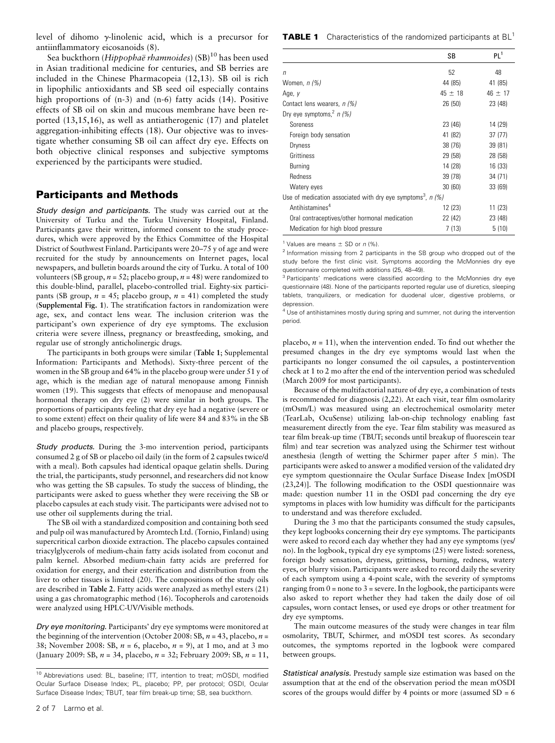level of dihomo g-linolenic acid, which is a precursor for antiinflammatory eicosanoids (8).

Sea buckthorn (Hippophaë rhamnoides) (SB)<sup>10</sup> has been used in Asian traditional medicine for centuries, and SB berries are included in the Chinese Pharmacopeia (12,13). SB oil is rich in lipophilic antioxidants and SB seed oil especially contains high proportions of (n-3) and (n-6) fatty acids (14). Positive effects of SB oil on skin and mucous membrane have been reported (13,15,16), as well as antiatherogenic (17) and platelet aggregation-inhibiting effects (18). Our objective was to investigate whether consuming SB oil can affect dry eye. Effects on both objective clinical responses and subjective symptoms experienced by the participants were studied.

### Participants and Methods

Study design and participants. The study was carried out at the University of Turku and the Turku University Hospital, Finland. Participants gave their written, informed consent to the study procedures, which were approved by the Ethics Committee of the Hospital District of Southwest Finland. Participants were 20–75 y of age and were recruited for the study by announcements on Internet pages, local newspapers, and bulletin boards around the city of Turku. A total of 100 volunteers (SB group,  $n = 52$ ; placebo group,  $n = 48$ ) were randomized to this double-blind, parallel, placebo-controlled trial. Eighty-six participants (SB group,  $n = 45$ ; placebo group,  $n = 41$ ) completed the study (Supplemental Fig. 1). The stratification factors in randomization were age, sex, and contact lens wear. The inclusion criterion was the participant's own experience of dry eye symptoms. The exclusion criteria were severe illness, pregnancy or breastfeeding, smoking, and regular use of strongly anticholinergic drugs.

The participants in both groups were similar (Table 1; Supplemental Information: Participants and Methods). Sixty-three percent of the women in the SB group and 64% in the placebo group were under 51 y of age, which is the median age of natural menopause among Finnish women (19). This suggests that effects of menopause and menopausal hormonal therapy on dry eye (2) were similar in both groups. The proportions of participants feeling that dry eye had a negative (severe or to some extent) effect on their quality of life were 84 and 83% in the SB and placebo groups, respectively.

Study products. During the 3-mo intervention period, participants consumed 2 g of SB or placebo oil daily (in the form of 2 capsules twice/d with a meal). Both capsules had identical opaque gelatin shells. During the trial, the participants, study personnel, and researchers did not know who was getting the SB capsules. To study the success of blinding, the participants were asked to guess whether they were receiving the SB or placebo capsules at each study visit. The participants were advised not to use other oil supplements during the trial.

The SB oil with a standardized composition and containing both seed and pulp oil was manufactured by Aromtech Ltd. (Tornio, Finland) using supercritical carbon dioxide extraction. The placebo capsules contained triacylglycerols of medium-chain fatty acids isolated from coconut and palm kernel. Absorbed medium-chain fatty acids are preferred for oxidation for energy, and their esterification and distribution from the liver to other tissues is limited (20). The compositions of the study oils are described in Table 2. Fatty acids were analyzed as methyl esters (21) using a gas chromatographic method (16). Tocopherols and carotenoids were analyzed using HPLC-UV/Visible methods.

Dry eye monitoring. Participants' dry eye symptoms were monitored at the beginning of the intervention (October 2008: SB,  $n = 43$ , placebo,  $n =$ 38; November 2008: SB,  $n = 6$ , placebo,  $n = 9$ ), at 1 mo, and at 3 mo (January 2009: SB,  $n = 34$ , placebo,  $n = 32$ ; February 2009: SB,  $n = 11$ , **TABLE 1** Characteristics of the randomized participants at BL<sup>1</sup>

|                                                                           | SB          | PL <sup>1</sup> |
|---------------------------------------------------------------------------|-------------|-----------------|
| $\sqrt{n}$                                                                | 52          | 48              |
| Women, <i>n (%)</i>                                                       | 44 (85)     | 41 (85)         |
| Age, y                                                                    | $45 \pm 18$ | $46 \pm 17$     |
| Contact lens wearers, n (%)                                               | 26 (50)     | 23 (48)         |
| Dry eye symptoms, <sup>2</sup> n (%)                                      |             |                 |
| Soreness                                                                  | 23 (46)     | 14 (29)         |
| Foreign body sensation                                                    | 41 (82)     | 37 (77)         |
| <b>Dryness</b>                                                            | 38 (76)     | 39 (81)         |
| Grittiness                                                                | 29 (58)     | 28 (58)         |
| Burning                                                                   | 14 (28)     | 16 (33)         |
| Redness                                                                   | 39 (78)     | 34 (71)         |
| Watery eyes                                                               | 30(60)      | 33 (69)         |
| Use of medication associated with dry eye symptoms <sup>3</sup> , $n$ (%) |             |                 |
| Antihistamines <sup>4</sup>                                               | 12 (23)     | 11 (23)         |
| Oral contraceptives/other hormonal medication                             | 22 (42)     | 23 (48)         |
| Medication for high blood pressure                                        | 7(13)       | 5(10)           |

<sup>1</sup> Values are means  $\pm$  SD or n (%).

<sup>2</sup> Information missing from 2 participants in the SB group who dropped out of the study before the first clinic visit. Symptoms according the McMonnies dry eye questionnaire completed with additions (25, 48–49).

<sup>3</sup> Participants' medications were classified according to the McMonnies dry eye questionnaire (48). None of the participants reported regular use of diuretics, sleeping tablets, tranquilizers, or medication for duodenal ulcer, digestive problems, or depression.

<sup>4</sup> Use of antihistamines mostly during spring and summer, not during the intervention period.

placebo,  $n = 11$ ), when the intervention ended. To find out whether the presumed changes in the dry eye symptoms would last when the participants no longer consumed the oil capsules, a postintervention check at 1 to 2 mo after the end of the intervention period was scheduled (March 2009 for most participants).

Because of the multifactorial nature of dry eye, a combination of tests is recommended for diagnosis (2,22). At each visit, tear film osmolarity (mOsm/L) was measured using an electrochemical osmolarity meter (TearLab, OcuSense) utilizing lab-on-chip technology enabling fast measurement directly from the eye. Tear film stability was measured as tear film break-up time (TBUT; seconds until breakup of fluorescein tear film) and tear secretion was analyzed using the Schirmer test without anesthesia (length of wetting the Schirmer paper after 5 min). The participants were asked to answer a modified version of the validated dry eye symptom questionnaire the Ocular Surface Disease Index [mOSDI (23,24)]. The following modification to the OSDI questionnaire was made: question number 11 in the OSDI pad concerning the dry eye symptoms in places with low humidity was difficult for the participants to understand and was therefore excluded.

During the 3 mo that the participants consumed the study capsules, they kept logbooks concerning their dry eye symptoms. The participants were asked to record each day whether they had any eye symptoms (yes/ no). In the logbook, typical dry eye symptoms (25) were listed: soreness, foreign body sensation, dryness, grittiness, burning, redness, watery eyes, or blurry vision. Participants were asked to record daily the severity of each symptom using a 4-point scale, with the severity of symptoms ranging from  $0 =$  none to  $3 =$  severe. In the logbook, the participants were also asked to report whether they had taken the daily dose of oil capsules, worn contact lenses, or used eye drops or other treatment for dry eye symptoms.

The main outcome measures of the study were changes in tear film osmolarity, TBUT, Schirmer, and mOSDI test scores. As secondary outcomes, the symptoms reported in the logbook were compared between groups.

Statistical analysis. Prestudy sample size estimation was based on the assumption that at the end of the observation period the mean mOSDI scores of the groups would differ by 4 points or more (assumed  $SD = 6$ )

<sup>10</sup> Abbreviations used: BL, baseline; ITT, intention to treat; mOSDI, modified Ocular Surface Disease Index; PL, placebo; PP, per protocol; OSDI, Ocular Surface Disease Index; TBUT, tear film break-up time; SB, sea buckthorn.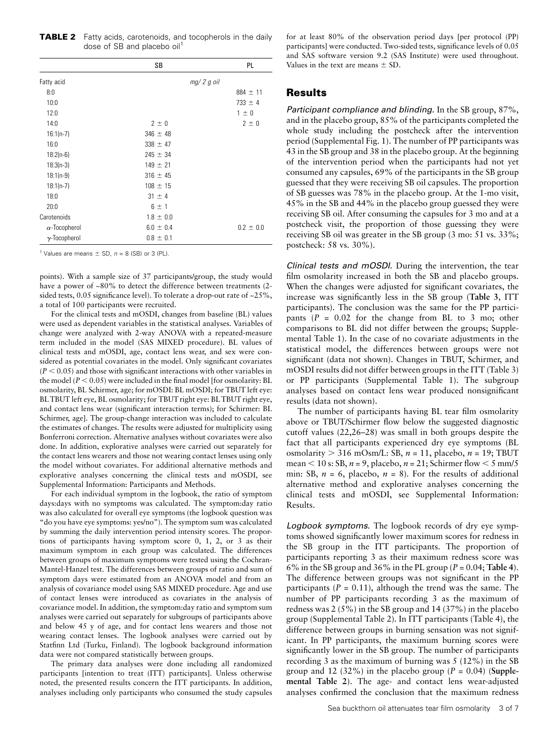**TABLE 2** Fatty acids, carotenoids, and tocopherols in the daily dose of SB and placebo oil<sup>1</sup>

|                      | SB            | <b>PL</b>     |
|----------------------|---------------|---------------|
| Fatty acid           | $mg/2 g$ oil  |               |
| 8:0                  |               | $884 \pm 11$  |
| 10:0                 |               | $733 \pm 4$   |
| 12:0                 |               | $1 \pm 0$     |
| 14:0                 | $2 \pm 0$     | $2 \pm 0$     |
| $16:1(n-7)$          | $346 \pm 48$  |               |
| 16:0                 | $338 \pm 47$  |               |
| $18:2(n-6)$          | $245 \pm 34$  |               |
| $18:3(n-3)$          | $149 \pm 21$  |               |
| $18:1(n-9)$          | $316 \pm 45$  |               |
| $18:1(n-7)$          | $108 \pm 15$  |               |
| 18:0                 | $31 \pm 4$    |               |
| 20:0                 | $6 \pm 1$     |               |
| Carotenoids          | $1.8 \pm 0.0$ |               |
| $\alpha$ -Tocopherol | $6.0 \pm 0.4$ | $0.2 \pm 0.0$ |
| $\gamma$ -Tocopherol | $0.8 \pm 0.1$ |               |

<sup>1</sup> Values are means  $\pm$  SD,  $n = 8$  (SB) or 3 (PL).

points). With a sample size of 37 participants/group, the study would have a power of ~80% to detect the difference between treatments (2sided tests, 0.05 significance level). To tolerate a drop-out rate of ~25%, a total of 100 participants were recruited.

For the clinical tests and mOSDI, changes from baseline (BL) values were used as dependent variables in the statistical analyses. Variables of change were analyzed with 2-way ANOVA with a repeated-measure term included in the model (SAS MIXED procedure). BL values of clinical tests and mOSDI, age, contact lens wear, and sex were considered as potential covariates in the model. Only significant covariates  $(P < 0.05)$  and those with significant interactions with other variables in the model ( $P < 0.05$ ) were included in the final model [for osmolarity: BL osmolarity, BL Schirmer, age; for mOSDI: BL mOSDI; for TBUT left eye: BLTBUT left eye, BL osmolarity; for TBUT right eye: BLTBUT right eye, and contact lens wear (significant interaction terms); for Schirmer: BL Schirmer, age]. The group-change interaction was included to calculate the estimates of changes. The results were adjusted for multiplicity using Bonferroni correction. Alternative analyses without covariates were also done. In addition, explorative analyses were carried out separately for the contact lens wearers and those not wearing contact lenses using only the model without covariates. For additional alternative methods and explorative analyses concerning the clinical tests and mOSDI, see Supplemental Information: Participants and Methods.

For each individual symptom in the logbook, the ratio of symptom days:days with no symptoms was calculated. The symptom:day ratio was also calculated for overall eye symptoms (the logbook question was "do you have eye symptoms: yes/no"). The symptom sum was calculated by summing the daily intervention period intensity scores. The proportions of participants having symptom score 0, 1, 2, or 3 as their maximum symptom in each group was calculated. The differences between groups of maximum symptoms were tested using the Cochran-Mantel-Hanzel test. The differences between groups of ratio and sum of symptom days were estimated from an ANOVA model and from an analysis of covariance model using SAS MIXED procedure. Age and use of contact lenses were introduced as covariates in the analysis of covariance model. In addition, the symptom:day ratio and symptom sum analyses were carried out separately for subgroups of participants above and below 45 y of age, and for contact lens wearers and those not wearing contact lenses. The logbook analyses were carried out by Statfinn Ltd (Turku, Finland). The logbook background information data were not compared statistically between groups.

The primary data analyses were done including all randomized participants [intention to treat (ITT) participants]. Unless otherwise noted, the presented results concern the ITT participants. In addition, analyses including only participants who consumed the study capsules

for at least 80% of the observation period days [per protocol (PP) participants] were conducted. Two-sided tests, significance levels of 0.05 and SAS software version 9.2 (SAS Institute) were used throughout. Values in the text are means  $\pm$  SD.

#### Results

Participant compliance and blinding. In the SB group, 87%, and in the placebo group, 85% of the participants completed the whole study including the postcheck after the intervention period (Supplemental Fig. 1). The number of PP participants was 43 in the SB group and 38 in the placebo group. At the beginning of the intervention period when the participants had not yet consumed any capsules, 69% of the participants in the SB group guessed that they were receiving SB oil capsules. The proportion of SB guesses was 78% in the placebo group. At the 1-mo visit, 45% in the SB and 44% in the placebo group guessed they were receiving SB oil. After consuming the capsules for 3 mo and at a postcheck visit, the proportion of those guessing they were receiving SB oil was greater in the SB group (3 mo: 51 vs. 33%; postcheck: 58 vs. 30%).

Clinical tests and mOSDI. During the intervention, the tear film osmolarity increased in both the SB and placebo groups. When the changes were adjusted for significant covariates, the increase was significantly less in the SB group (Table 3, ITT participants). The conclusion was the same for the PP participants ( $P = 0.02$  for the change from BL to 3 mo; other comparisons to BL did not differ between the groups; Supplemental Table 1). In the case of no covariate adjustments in the statistical model, the differences between groups were not significant (data not shown). Changes in TBUT, Schirmer, and mOSDI results did not differ between groups in the ITT (Table 3) or PP participants (Supplemental Table 1). The subgroup analyses based on contact lens wear produced nonsignificant results (data not shown).

The number of participants having BL tear film osmolarity above or TBUT/Schirmer flow below the suggested diagnostic cutoff values (22,26–28) was small in both groups despite the fact that all participants experienced dry eye symptoms (BL osmolarity  $>$  316 mOsm/L: SB,  $n = 11$ , placebo,  $n = 19$ ; TBUT mean  $<$  10 s: SB, n = 9, placebo, n = 21; Schirmer flow  $<$  5 mm/5 min: SB,  $n = 6$ , placebo,  $n = 8$ ). For the results of additional alternative method and explorative analyses concerning the clinical tests and mOSDI, see Supplemental Information: Results.

Logbook symptoms. The logbook records of dry eye symptoms showed significantly lower maximum scores for redness in the SB group in the ITT participants. The proportion of participants reporting 3 as their maximum redness score was 6% in the SB group and 36% in the PL group ( $P = 0.04$ ; Table 4). The difference between groups was not significant in the PP participants ( $P = 0.11$ ), although the trend was the same. The number of PP participants recording 3 as the maximum of redness was 2 (5%) in the SB group and 14 (37%) in the placebo group (Supplemental Table 2). In ITT participants (Table 4), the difference between groups in burning sensation was not significant. In PP participants, the maximum burning scores were significantly lower in the SB group. The number of participants recording 3 as the maximum of burning was 5 (12%) in the SB group and 12 (32%) in the placebo group ( $P = 0.04$ ) (Supplemental Table 2). The age- and contact lens wear-adjusted analyses confirmed the conclusion that the maximum redness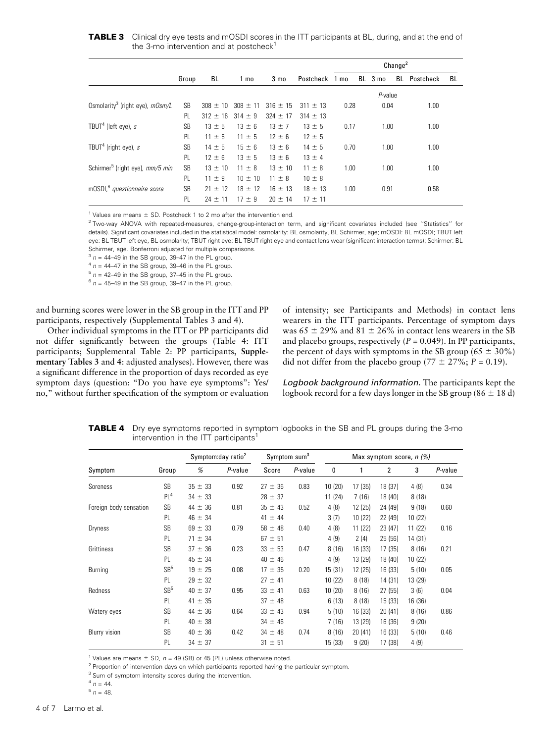**TABLE 3** Clinical dry eye tests and mOSDI scores in the ITT participants at BL, during, and at the end of the 3-mo intervention and at postcheck $1$ 

|                                             |           |              |              |                 |              | Change <sup>2</sup> |            |                                                                    |
|---------------------------------------------|-----------|--------------|--------------|-----------------|--------------|---------------------|------------|--------------------------------------------------------------------|
|                                             | Group     | BL           | 1 mo         | 3 <sub>mo</sub> |              |                     |            | Postcheck $1 \text{ mo} - BL$ $3 \text{ mo} - BL$ Postcheck $- BL$ |
|                                             |           |              |              |                 |              |                     | $P$ -value |                                                                    |
| Osmolarity <sup>3</sup> (right eye), mOsm/L | <b>SB</b> | $308 \pm 10$ | $308 \pm 11$ | $316 \pm 15$    | $311 \pm 13$ | 0.28                | 0.04       | 1.00                                                               |
|                                             | PL        | $312 \pm 16$ | $314 \pm 9$  | $324 \pm 17$    | $314 \pm 13$ |                     |            |                                                                    |
| TBUT <sup>4</sup> (left eye), $s$           | <b>SB</b> | $13 \pm 5$   | $13 \pm 6$   | $13 \pm 7$      | $13 \pm 5$   | 0.17                | 1.00       | 1.00                                                               |
|                                             | PL        | $11 \pm 5$   | $11 \pm 5$   | $12 \pm 6$      | $12 \pm 5$   |                     |            |                                                                    |
| TBUT <sup>4</sup> (right eye), $s$          | <b>SB</b> | $14 \pm 5$   | $15 \pm 6$   | $13 \pm 6$      | $14 \pm 5$   | 0.70                | 1.00       | 1.00                                                               |
|                                             | PL.       | $12 \pm 6$   | $13 \pm 5$   | $13 \pm 6$      | $13 \pm 4$   |                     |            |                                                                    |
| Schirmer <sup>5</sup> (right eye), mm/5 min | <b>SB</b> | $13 \pm 10$  | $11 \pm 8$   | $13 \pm 10$     | $11 \pm 8$   | 1.00                | 1.00       | 1.00                                                               |
|                                             | PL        | $11 \pm 9$   | $10 \pm 10$  | $11 \pm 8$      | $10 \pm 8$   |                     |            |                                                                    |
| mOSDI, <sup>6</sup> questionnaire score     | <b>SB</b> | $21 \pm 12$  | $18 \pm 12$  | $16 \pm 13$     | $18 \pm 13$  | 1.00                | 0.91       | 0.58                                                               |
|                                             | PL        | $24 \pm 11$  | $17 \pm 9$   | $20 \pm 14$     | $17 \pm 11$  |                     |            |                                                                    |

<sup>1</sup> Values are means  $\pm$  SD. Postcheck 1 to 2 mo after the intervention end.

<sup>2</sup> Two-way ANOVA with repeated-measures, change-group-interaction term, and significant covariates included (see "Statistics" for details). Significant covariates included in the statistical model: osmolarity: BL osmolarity, BL Schirmer, age; mOSDI: BL mOSDI; TBUT left eye: BL TBUT left eye, BL osmolarity; TBUT right eye: BL TBUT right eye and contact lens wear (significant interaction terms); Schirmer: BL Schirmer, age. Bonferroni adjusted for multiple comparisons.

 $3 n = 44-49$  in the SB group, 39-47 in the PL group.

 $4 n = 44-47$  in the SB group, 39-46 in the PL group.

 $5 n = 42-49$  in the SB group, 37-45 in the PL group.

 $6 n = 45-49$  in the SB group, 39-47 in the PL group.

and burning scores were lower in the SB group in the ITT and PP participants, respectively (Supplemental Tables 3 and 4).

Other individual symptoms in the ITT or PP participants did not differ significantly between the groups (Table 4: ITT participants; Supplemental Table 2: PP participants, Supplementary Tables 3 and 4: adjusted analyses). However, there was a significant difference in the proportion of days recorded as eye symptom days (question: "Do you have eye symptoms": Yes/ no," without further specification of the symptom or evaluation

of intensity; see Participants and Methods) in contact lens wearers in the ITT participants. Percentage of symptom days was  $65 \pm 29\%$  and  $81 \pm 26\%$  in contact lens wearers in the SB and placebo groups, respectively ( $P = 0.049$ ). In PP participants, the percent of days with symptoms in the SB group ( $65 \pm 30\%$ ) did not differ from the placebo group (77  $\pm$  27%; P = 0.19).

Logbook background information. The participants kept the logbook record for a few days longer in the SB group (86  $\pm$  18 d)

**TABLE 4** Dry eye symptoms reported in symptom logbooks in the SB and PL groups during the 3-mo intervention in the ITT participants<sup>1</sup>

|                        | Group           | Symptom:day ratio <sup>2</sup> |         | Symptom sum <sup>3</sup> |         | Max symptom score, $n$ (%) |         |         |         |         |
|------------------------|-----------------|--------------------------------|---------|--------------------------|---------|----------------------------|---------|---------|---------|---------|
| Symptom                |                 | %                              | P-value | Score                    | P-value | 0                          |         | 2       | 3       | P-value |
| Soreness               | <b>SB</b>       | $35 \pm 33$                    | 0.92    | $27 \pm 36$              | 0.83    | 10(20)                     | 17 (35) | 18 (37) | 4(8)    | 0.34    |
|                        | PL <sup>4</sup> | $34 \pm 33$                    |         | $28 \pm 37$              |         | 11(24)                     | 7(16)   | 18 (40) | 8(18)   |         |
| Foreign body sensation | <b>SB</b>       | $44 \pm 36$                    | 0.81    | $35 \pm 43$              | 0.52    | 4(8)                       | 12 (25) | 24 (49) | 9(18)   | 0.60    |
|                        | PL              | $46 \pm 34$                    |         | $41 \pm 44$              |         | 3(7)                       | 10 (22) | 22 (49) | 10(22)  |         |
| Dryness                | <b>SB</b>       | $69 \pm 33$                    | 0.79    | $58 \pm 48$              | 0.40    | 4(8)                       | 11(22)  | 23 (47) | 11 (22) | 0.16    |
|                        | PL              | $71 \pm 34$                    |         | $67 \pm 51$              |         | 4(9)                       | 2(4)    | 25(56)  | 14 (31) |         |
| Grittiness             | <b>SB</b>       | $37 \pm 36$                    | 0.23    | $33 \pm 53$              | 0.47    | 8(16)                      | 16 (33) | 17(35)  | 8(16)   | 0.21    |
|                        | PL.             | $45 \pm 34$                    |         | $40 \pm 46$              |         | 4(9)                       | 13 (29) | 18 (40) | 10(22)  |         |
| Burning                | SB <sup>5</sup> | $19 \pm 25$                    | 0.08    | $17 \pm 35$              | 0.20    | 15(31)                     | 12 (25) | 16(33)  | 5(10)   | 0.05    |
|                        | PL              | $29 \pm 32$                    |         | $27 \pm 41$              |         | 10(22)                     | 8(18)   | 14 (31) | 13 (29) |         |
| Redness                | SB <sup>5</sup> | $40 \pm 37$                    | 0.95    | $33 \pm 41$              | 0.63    | 10(20)                     | 8(16)   | 27(55)  | 3(6)    | 0.04    |
|                        | PL              | $41 \pm 35$                    |         | $37 \pm 48$              |         | 6(13)                      | 8(18)   | 15(33)  | 16 (36) |         |
| Watery eyes            | <b>SB</b>       | $44 \pm 36$                    | 0.64    | $33 \pm 43$              | 0.94    | 5(10)                      | 16 (33) | 20(41)  | 8(16)   | 0.86    |
|                        | PL.             | $40 \pm 38$                    |         | $34 \pm 46$              |         | 7(16)                      | 13 (29) | 16 (36) | 9(20)   |         |
| Blurry vision          | <b>SB</b>       | $40 \pm 36$                    | 0.42    | $34 \pm 48$              | 0.74    | 8(16)                      | 20 (41) | 16 (33) | 5(10)   | 0.46    |
|                        | PL              | $34 \pm 37$                    |         | $31 \pm 51$              |         | 15(33)                     | 9(20)   | 17(38)  | 4(9)    |         |

<sup>1</sup> Values are means  $\pm$  SD, n = 49 (SB) or 45 (PL) unless otherwise noted.

<sup>2</sup> Proportion of intervention days on which participants reported having the particular symptom.

<sup>3</sup> Sum of symptom intensity scores during the intervention.

 $^{4}$  n = 44.  $5 n = 48.$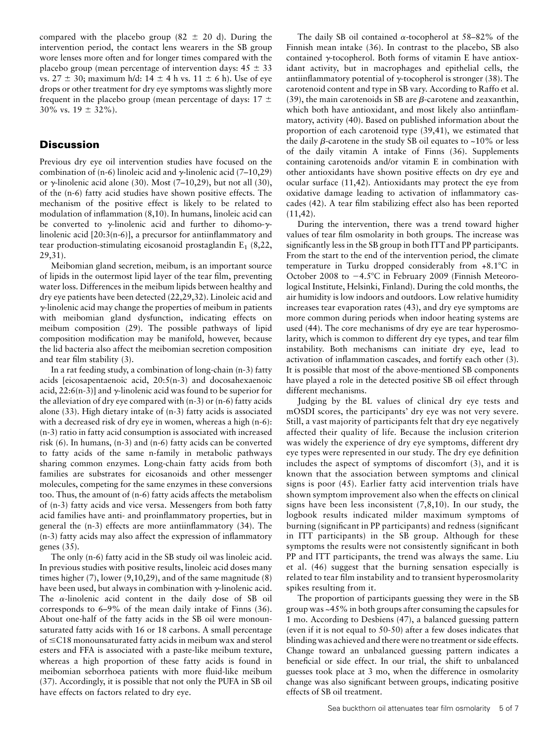compared with the placebo group (82  $\pm$  20 d). During the intervention period, the contact lens wearers in the SB group wore lenses more often and for longer times compared with the placebo group (mean percentage of intervention days:  $45 \pm 33$ vs.  $27 \pm 30$ ; maximum h/d:  $14 \pm 4$  h vs.  $11 \pm 6$  h). Use of eye drops or other treatment for dry eye symptoms was slightly more frequent in the placebo group (mean percentage of days:  $17 \pm$ 30% vs.  $19 \pm 32\%$ ).

## **Discussion**

Previous dry eye oil intervention studies have focused on the combination of (n-6) linoleic acid and  $\gamma$ -linolenic acid (7–10,29) or  $\gamma$ -linolenic acid alone (30). Most (7–10,29), but not all (30), of the (n-6) fatty acid studies have shown positive effects. The mechanism of the positive effect is likely to be related to modulation of inflammation (8,10). In humans, linoleic acid can be converted to  $\gamma$ -linolenic acid and further to dihomo- $\gamma$ linolenic acid [20:3(n-6)], a precursor for antiinflammatory and tear production-stimulating eicosanoid prostaglandin  $E_1$  (8,22, 29,31).

Meibomian gland secretion, meibum, is an important source of lipids in the outermost lipid layer of the tear film, preventing water loss. Differences in the meibum lipids between healthy and dry eye patients have been detected (22,29,32). Linoleic acid and  $\gamma$ -linolenic acid may change the properties of meibum in patients with meibomian gland dysfunction, indicating effects on meibum composition (29). The possible pathways of lipid composition modification may be manifold, however, because the lid bacteria also affect the meibomian secretion composition and tear film stability (3).

In a rat feeding study, a combination of long-chain (n-3) fatty acids [eicosapentaenoic acid, 20:5(n-3) and docosahexaenoic acid, 22:6(n-3)] and  $\gamma$ -linolenic acid was found to be superior for the alleviation of dry eye compared with (n-3) or (n-6) fatty acids alone (33). High dietary intake of (n-3) fatty acids is associated with a decreased risk of dry eye in women, whereas a high (n-6): (n-3) ratio in fatty acid consumption is associated with increased risk (6). In humans, (n-3) and (n-6) fatty acids can be converted to fatty acids of the same n-family in metabolic pathways sharing common enzymes. Long-chain fatty acids from both families are substrates for eicosanoids and other messenger molecules, competing for the same enzymes in these conversions too. Thus, the amount of (n-6) fatty acids affects the metabolism of (n-3) fatty acids and vice versa. Messengers from both fatty acid families have anti- and proinflammatory properties, but in general the (n-3) effects are more antiinflammatory (34). The (n-3) fatty acids may also affect the expression of inflammatory genes (35).

The only (n-6) fatty acid in the SB study oil was linoleic acid. In previous studies with positive results, linoleic acid doses many times higher (7), lower (9,10,29), and of the same magnitude (8) have been used, but always in combination with  $\gamma$ -linolenic acid. The  $\alpha$ -linolenic acid content in the daily dose of SB oil corresponds to 6–9% of the mean daily intake of Finns (36). About one-half of the fatty acids in the SB oil were monounsaturated fatty acids with 16 or 18 carbons. A small percentage of  $\leq$ C18 monounsaturated fatty acids in meibum wax and sterol esters and FFA is associated with a paste-like meibum texture, whereas a high proportion of these fatty acids is found in meibomian seborrhoea patients with more fluid-like meibum (37). Accordingly, it is possible that not only the PUFA in SB oil have effects on factors related to dry eye.

The daily SB oil contained  $\alpha$ -tocopherol at 58–82% of the Finnish mean intake (36). In contrast to the placebo, SB also contained  $\gamma$ -tocopherol. Both forms of vitamin E have antioxidant activity, but in macrophages and epithelial cells, the antiinflammatory potential of  $\gamma$ -tocopherol is stronger (38). The carotenoid content and type in SB vary. According to Raffo et al. (39), the main carotenoids in SB are  $\beta$ -carotene and zeaxanthin, which both have antioxidant, and most likely also antiinflammatory, activity (40). Based on published information about the proportion of each carotenoid type (39,41), we estimated that the daily  $\beta$ -carotene in the study SB oil equates to  $\sim$ 10% or less of the daily vitamin A intake of Finns (36). Supplements containing carotenoids and/or vitamin E in combination with other antioxidants have shown positive effects on dry eye and ocular surface (11,42). Antioxidants may protect the eye from oxidative damage leading to activation of inflammatory cascades (42). A tear film stabilizing effect also has been reported (11,42).

During the intervention, there was a trend toward higher values of tear film osmolarity in both groups. The increase was significantly less in the SB group in both ITT and PP participants. From the start to the end of the intervention period, the climate temperature in Turku dropped considerably from  $+8.1^{\circ}$ C in October 2008 to  $-4.5^{\circ}$ C in February 2009 (Finnish Meteorological Institute, Helsinki, Finland). During the cold months, the air humidity is low indoors and outdoors. Low relative humidity increases tear evaporation rates (43), and dry eye symptoms are more common during periods when indoor heating systems are used (44). The core mechanisms of dry eye are tear hyperosmolarity, which is common to different dry eye types, and tear film instability. Both mechanisms can initiate dry eye, lead to activation of inflammation cascades, and fortify each other (3). It is possible that most of the above-mentioned SB components have played a role in the detected positive SB oil effect through different mechanisms.

Judging by the BL values of clinical dry eye tests and mOSDI scores, the participants' dry eye was not very severe. Still, a vast majority of participants felt that dry eye negatively affected their quality of life. Because the inclusion criterion was widely the experience of dry eye symptoms, different dry eye types were represented in our study. The dry eye definition includes the aspect of symptoms of discomfort (3), and it is known that the association between symptoms and clinical signs is poor (45). Earlier fatty acid intervention trials have shown symptom improvement also when the effects on clinical signs have been less inconsistent  $(7,8,10)$ . In our study, the logbook results indicated milder maximum symptoms of burning (significant in PP participants) and redness (significant in ITT participants) in the SB group. Although for these symptoms the results were not consistently significant in both PP and ITT participants, the trend was always the same. Liu et al. (46) suggest that the burning sensation especially is related to tear film instability and to transient hyperosmolarity spikes resulting from it.

The proportion of participants guessing they were in the SB group was ~45% in both groups after consuming the capsules for 1 mo. According to Desbiens (47), a balanced guessing pattern (even if it is not equal to 50-50) after a few doses indicates that blinding was achieved and there were no treatment or side effects. Change toward an unbalanced guessing pattern indicates a beneficial or side effect. In our trial, the shift to unbalanced guesses took place at 3 mo, when the difference in osmolarity change was also significant between groups, indicating positive effects of SB oil treatment.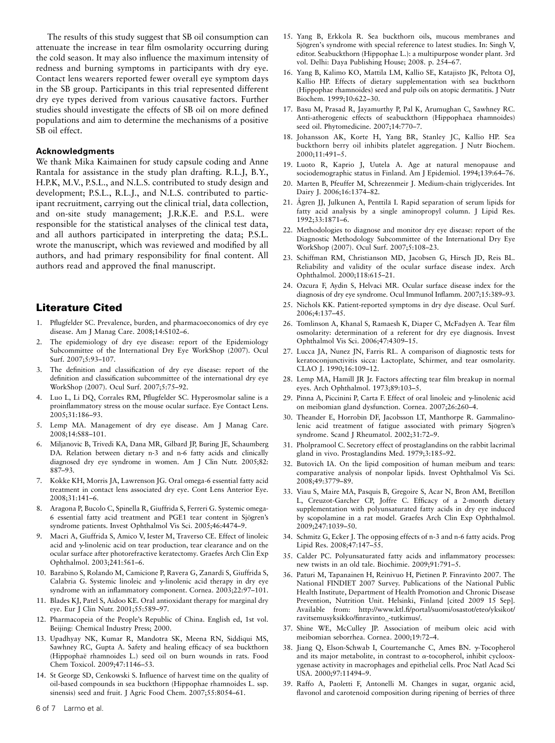The results of this study suggest that SB oil consumption can attenuate the increase in tear film osmolarity occurring during the cold season. It may also influence the maximum intensity of redness and burning symptoms in participants with dry eye. Contact lens wearers reported fewer overall eye symptom days in the SB group. Participants in this trial represented different dry eye types derived from various causative factors. Further studies should investigate the effects of SB oil on more defined populations and aim to determine the mechanisms of a positive SB oil effect.

#### Acknowledgments

We thank Mika Kaimainen for study capsule coding and Anne Rantala for assistance in the study plan drafting. R.L.J, B.Y., H.P.K, M.V., P.S.L., and N.L.S. contributed to study design and development; P.S.L., R.L.J., and N.L.S. contributed to participant recruitment, carrying out the clinical trial, data collection, and on-site study management; J.R.K.E. and P.S.L. were responsible for the statistical analyses of the clinical test data, and all authors participated in interpreting the data; P.S.L. wrote the manuscript, which was reviewed and modified by all authors, and had primary responsibility for final content. All authors read and approved the final manuscript.

## Literature Cited

- 1. Pflugfelder SC. Prevalence, burden, and pharmacoeconomics of dry eye disease. Am J Manag Care. 2008;14:S102–6.
- The epidemiology of dry eye disease: report of the Epidemiology Subcommittee of the International Dry Eye WorkShop (2007). Ocul Surf. 2007;5:93–107.
- 3. The definition and classification of dry eye disease: report of the definition and classification subcommittee of the international dry eye WorkShop (2007). Ocul Surf. 2007;5:75–92.
- 4. Luo L, Li DQ, Corrales RM, Pflugfelder SC. Hyperosmolar saline is a proinflammatory stress on the mouse ocular surface. Eye Contact Lens. 2005;31:186–93.
- 5. Lemp MA. Management of dry eye disease. Am J Manag Care. 2008;14:S88–101.
- 6. Miljanovic B, Trivedi KA, Dana MR, Gilbard JP, Buring JE, Schaumberg DA. Relation between dietary n-3 and n-6 fatty acids and clinically diagnosed dry eye syndrome in women. Am J Clin Nutr. 2005;82: 887–93.
- 7. Kokke KH, Morris JA, Lawrenson JG. Oral omega-6 essential fatty acid treatment in contact lens associated dry eye. Cont Lens Anterior Eye. 2008;31:141–6.
- 8. Aragona P, Bucolo C, Spinella R, Giuffrida S, Ferreri G. Systemic omega-6 essential fatty acid treatment and PGE1 tear content in Sjögren's syndrome patients. Invest Ophthalmol Vis Sci. 2005;46:4474–9.
- 9. Macri A, Giuffrida S, Amico V, Iester M, Traverso CE. Effect of linoleic acid and  $\gamma$ -linolenic acid on tear production, tear clearance and on the ocular surface after photorefractive keratectomy. Graefes Arch Clin Exp Ophthalmol. 2003;241:561–6.
- 10. Barabino S, Rolando M, Camicione P, Ravera G, Zanardi S, Giuffrida S, Calabria G. Systemic linoleic and  $\gamma$ -linolenic acid therapy in dry eye syndrome with an inflammatory component. Cornea. 2003;22:97–101.
- 11. Blades KJ, Patel S, Aidoo KE. Oral antioxidant therapy for marginal dry eye. Eur J Clin Nutr. 2001;55:589–97.
- 12. Pharmacopeia of the People's Republic of China. English ed, 1st vol. Beijing: Chemical Industry Press; 2000.
- 13. Upadhyay NK, Kumar R, Mandotra SK, Meena RN, Siddiqui MS, Sawhney RC, Gupta A. Safety and healing efficacy of sea buckthorn (Hippophae¨ rhamnoides L.) seed oil on burn wounds in rats. Food Chem Toxicol. 2009;47:1146–53.
- 14. St George SD, Cenkowski S. Influence of harvest time on the quality of oil-based compounds in sea buckthorn (Hippophae rhamnoides L. ssp. sinensis) seed and fruit. J Agric Food Chem. 2007;55:8054–61.
- 15. Yang B, Erkkola R. Sea buckthorn oils, mucous membranes and Siögren's syndrome with special reference to latest studies. In: Singh V, editor. Seabuckthorn (Hippophae L.): a multipurpose wonder plant. 3rd vol. Delhi: Daya Publishing House; 2008. p. 254–67.
- 16. Yang B, Kalimo KO, Mattila LM, Kallio SE, Katajisto JK, Peltota OJ, Kallio HP. Effects of dietary supplementation with sea buckthorn (Hippophae rhamnoides) seed and pulp oils on atopic dermatitis. J Nutr Biochem. 1999;10:622–30.
- 17. Basu M, Prasad R, Jayamurthy P, Pal K, Arumughan C, Sawhney RC. Anti-atherogenic effects of seabuckthorn (Hippophaea rhamnoides) seed oil. Phytomedicine. 2007;14:770–7.
- 18. Johansson AK, Korte H, Yang BR, Stanley JC, Kallio HP. Sea buckthorn berry oil inhibits platelet aggregation. J Nutr Biochem. 2000;11:491–5.
- 19. Luoto R, Kaprio J, Uutela A. Age at natural menopause and sociodemographic status in Finland. Am J Epidemiol. 1994;139:64–76.
- 20. Marten B, Pfeuffer M, Schrezenmeir J. Medium-chain triglycerides. Int Dairy J. 2006;16:1374–82.
- 21. Ågren JJ, Julkunen A, Penttilä I. Rapid separation of serum lipids for fatty acid analysis by a single aminopropyl column. J Lipid Res. 1992;33:1871–6.
- 22. Methodologies to diagnose and monitor dry eye disease: report of the Diagnostic Methodology Subcommittee of the International Dry Eye WorkShop (2007). Ocul Surf. 2007;5:108–23.
- 23. Schiffman RM, Christianson MD, Jacobsen G, Hirsch JD, Reis BL. Reliability and validity of the ocular surface disease index. Arch Ophthalmol. 2000;118:615–21.
- 24. Ozcura F, Aydin S, Helvaci MR. Ocular surface disease index for the diagnosis of dry eye syndrome. Ocul Immunol Inflamm. 2007;15:389–93.
- 25. Nichols KK. Patient-reported symptoms in dry dye disease. Ocul Surf. 2006;4:137–45.
- 26. Tomlinson A, Khanal S, Ramaesh K, Diaper C, McFadyen A. Tear film osmolarity: determination of a referent for dry eye diagnosis. Invest Ophthalmol Vis Sci. 2006;47:4309–15.
- 27. Lucca JA, Nunez JN, Farris RL. A comparison of diagnostic tests for keratoconjunctivitis sicca: Lactoplate, Schirmer, and tear osmolarity. CLAO J. 1990;16:109–12.
- 28. Lemp MA, Hamill JR Jr. Factors affecting tear film breakup in normal eyes. Arch Ophthalmol. 1973;89:103–5.
- 29. Pinna A, Piccinini P, Carta F. Effect of oral linoleic and  $\gamma$ -linolenic acid on meibomian gland dysfunction. Cornea. 2007;26:260–4.
- 30. Theander E, Horrobin DF, Jacobsson LT, Manthorpe R. Gammalinolenic acid treatment of fatigue associated with primary Sjögren's syndrome. Scand J Rheumatol. 2002;31:72–9.
- 31. Pholpramool C. Secretory effect of prostaglandins on the rabbit lacrimal gland in vivo. Prostaglandins Med. 1979;3:185–92.
- 32. Butovich IA. On the lipid composition of human meibum and tears: comparative analysis of nonpolar lipids. Invest Ophthalmol Vis Sci. 2008;49:3779–89.
- 33. Viau S, Maire MA, Pasquis B, Gregoire S, Acar N, Bron AM, Bretillon L, Creuzot-Garcher CP, Joffre C. Efficacy of a 2-month dietary supplementation with polyunsaturated fatty acids in dry eye induced by scopolamine in a rat model. Graefes Arch Clin Exp Ophthalmol. 2009;247:1039–50.
- 34. Schmitz G, Ecker J. The opposing effects of n-3 and n-6 fatty acids. Prog Lipid Res. 2008;47:147–55.
- 35. Calder PC. Polyunsaturated fatty acids and inflammatory processes: new twists in an old tale. Biochimie. 2009;91:791–5.
- 36. Paturi M, Tapanainen H, Reinivuo H, Pietinen P. Finravinto 2007. The National FINDIET 2007 Survey. Publications of the National Public Health Institute, Department of Health Promotion and Chronic Disease Prevention, Nutrition Unit. Helsinki, Finland [cited 2009 15 Sep]. Available from: http://www.ktl.fi/portal/suomi/osastot/eteo/yksikot/ ravitsemusyksikko/finravinto\_-tutkimus/.
- 37. Shine WE, McCulley JP. Association of meibum oleic acid with meibomian seborrhea. Cornea. 2000;19:72–4.
- 38. Jiang Q, Elson-Schwab I, Courtemanche C, Ames BN. y-Tocopherol and its major metabolite, in contrast to  $\alpha$ -tocopherol, inhibit cyclooxygenase activity in macrophages and epithelial cells. Proc Natl Acad Sci USA. 2000;97:11494–9.
- 39. Raffo A, Paoletti F, Antonelli M. Changes in sugar, organic acid, flavonol and carotenoid composition during ripening of berries of three